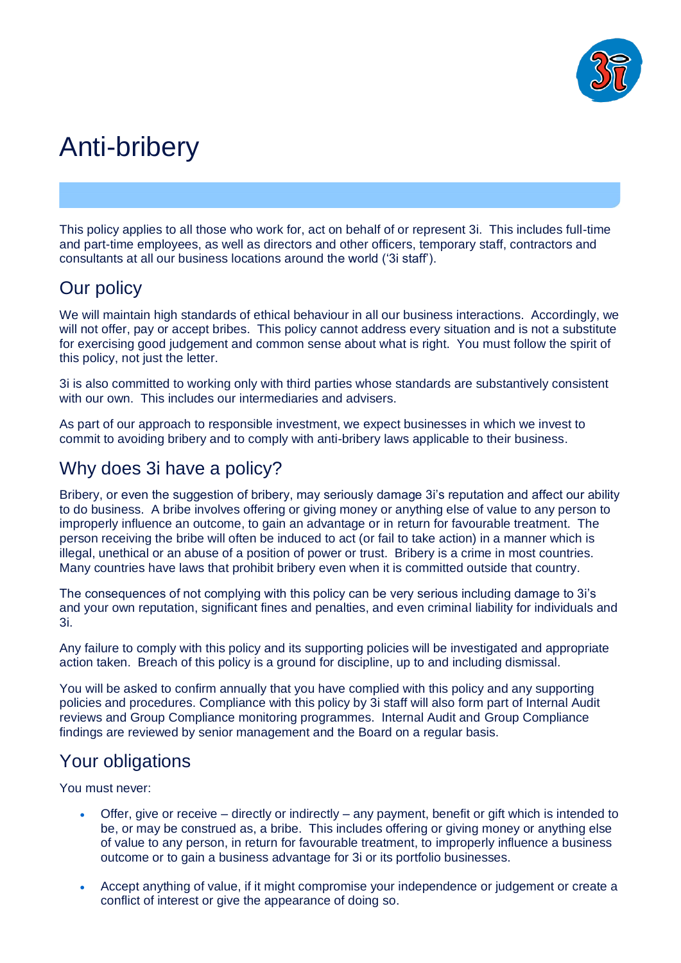

# Anti-bribery

This policy applies to all those who work for, act on behalf of or represent 3i. This includes full-time and part-time employees, as well as directors and other officers, temporary staff, contractors and consultants at all our business locations around the world ('3i staff').

# Our policy

We will maintain high standards of ethical behaviour in all our business interactions. Accordingly, we will not offer, pay or accept bribes. This policy cannot address every situation and is not a substitute for exercising good judgement and common sense about what is right. You must follow the spirit of this policy, not just the letter.

3i is also committed to working only with third parties whose standards are substantively consistent with our own. This includes our intermediaries and advisers.

As part of our approach to responsible investment, we expect businesses in which we invest to commit to avoiding bribery and to comply with anti-bribery laws applicable to their business.

# Why does 3i have a policy?

Bribery, or even the suggestion of bribery, may seriously damage 3i's reputation and affect our ability to do business. A bribe involves offering or giving money or anything else of value to any person to improperly influence an outcome, to gain an advantage or in return for favourable treatment. The person receiving the bribe will often be induced to act (or fail to take action) in a manner which is illegal, unethical or an abuse of a position of power or trust. Bribery is a crime in most countries. Many countries have laws that prohibit bribery even when it is committed outside that country.

The consequences of not complying with this policy can be very serious including damage to 3i's and your own reputation, significant fines and penalties, and even criminal liability for individuals and 3i.

Any failure to comply with this policy and its supporting policies will be investigated and appropriate action taken. Breach of this policy is a ground for discipline, up to and including dismissal.

You will be asked to confirm annually that you have complied with this policy and any supporting policies and procedures. Compliance with this policy by 3i staff will also form part of Internal Audit reviews and Group Compliance monitoring programmes. Internal Audit and Group Compliance findings are reviewed by senior management and the Board on a regular basis.

# Your obligations

You must never:

- Offer, give or receive directly or indirectly any payment, benefit or gift which is intended to be, or may be construed as, a bribe. This includes offering or giving money or anything else of value to any person, in return for favourable treatment, to improperly influence a business outcome or to gain a business advantage for 3i or its portfolio businesses.
- Accept anything of value, if it might compromise your independence or judgement or create a conflict of interest or give the appearance of doing so.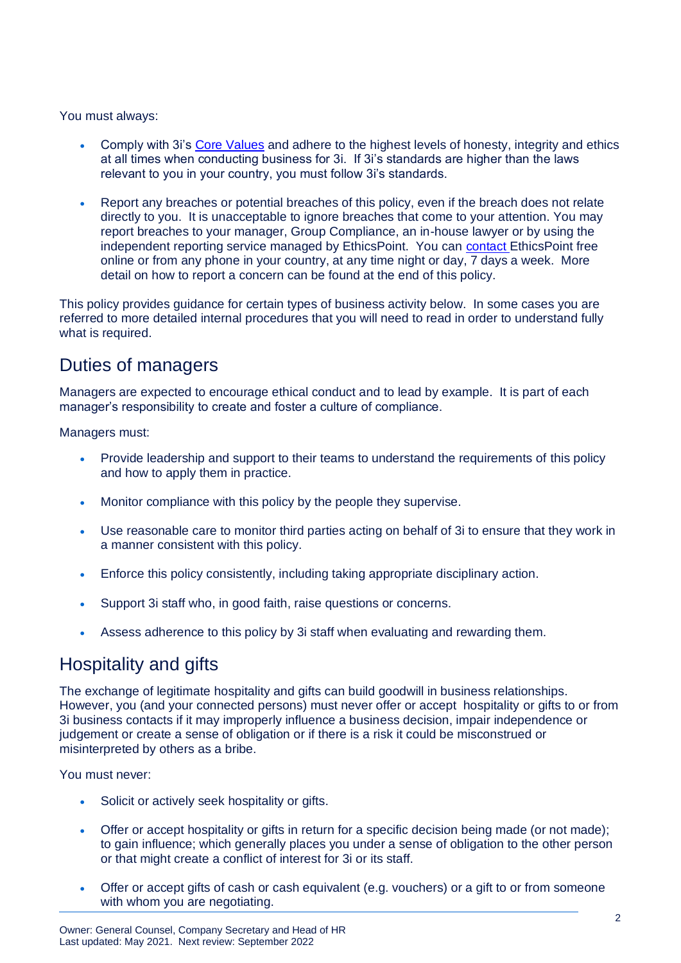You must always:

- Comply with 3i's [Core Values](http://3i/group/Home/policies/Pages/values.jpg) and adhere to the highest levels of honesty, integrity and ethics at all times when conducting business for 3i. If 3i's standards are higher than the laws relevant to you in your country, you must follow 3i's standards.
- Report any breaches or potential breaches of this policy, even if the breach does not relate directly to you. It is unacceptable to ignore breaches that come to your attention. You may report breaches to your manager, Group Compliance, an in-house lawyer or by using the independent reporting service managed by EthicsPoint. You can [contact](https://3igroupplc.sharepoint.com/sites/PS-COMP-PUBLIC/SitePages/Reporting-a-co.aspx) EthicsPoint free online or from any phone in your country, at any time night or day, 7 days a week. More detail on how to report a concern can be found at the end of this policy.

This policy provides guidance for certain types of business activity below. In some cases you are referred to more detailed internal procedures that you will need to read in order to understand fully what is required.

# Duties of managers

Managers are expected to encourage ethical conduct and to lead by example. It is part of each manager's responsibility to create and foster a culture of compliance.

Managers must:

- Provide leadership and support to their teams to understand the requirements of this policy and how to apply them in practice.
- Monitor compliance with this policy by the people they supervise.
- Use reasonable care to monitor third parties acting on behalf of 3i to ensure that they work in a manner consistent with this policy.
- Enforce this policy consistently, including taking appropriate disciplinary action.
- Support 3i staff who, in good faith, raise questions or concerns.
- Assess adherence to this policy by 3i staff when evaluating and rewarding them.

## Hospitality and gifts

The exchange of legitimate hospitality and gifts can build goodwill in business relationships. However, you (and your connected persons) must never offer or accept hospitality or gifts to or from 3i business contacts if it may improperly influence a business decision, impair independence or judgement or create a sense of obligation or if there is a risk it could be misconstrued or misinterpreted by others as a bribe.

You must never:

- Solicit or actively seek hospitality or gifts.
- Offer or accept hospitality or gifts in return for a specific decision being made (or not made); to gain influence; which generally places you under a sense of obligation to the other person or that might create a conflict of interest for 3i or its staff.
- Offer or accept gifts of cash or cash equivalent (e.g. vouchers) or a gift to or from someone with whom you are negotiating.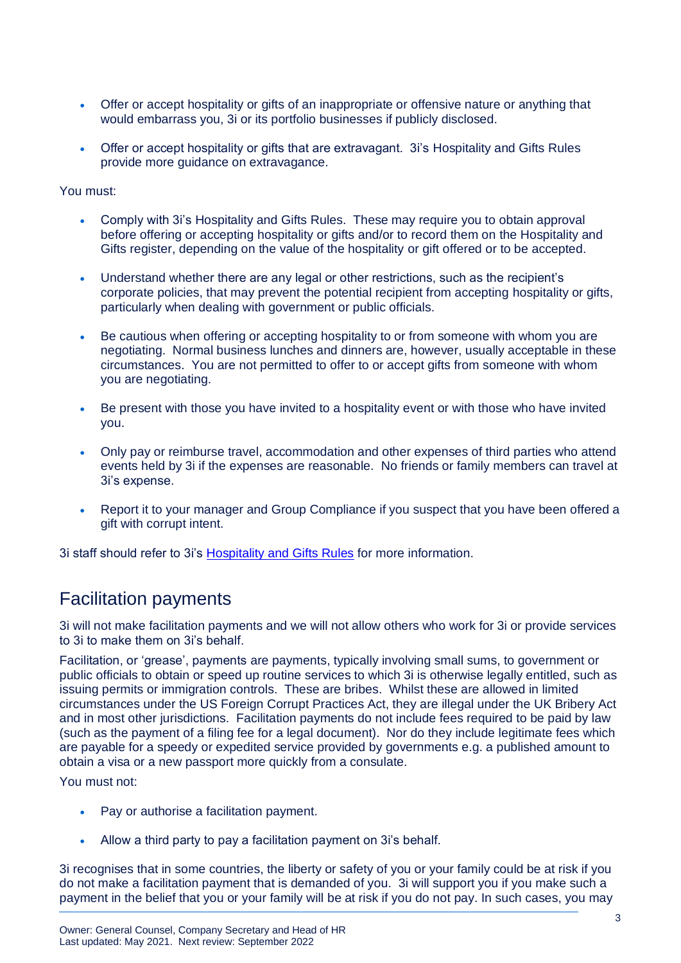- Offer or accept hospitality or gifts of an inappropriate or offensive nature or anything that would embarrass you, 3i or its portfolio businesses if publicly disclosed.
- Offer or accept hospitality or gifts that are extravagant. 3i's Hospitality and Gifts Rules provide more guidance on extravagance.

You must:

- Comply with 3i's Hospitality and Gifts Rules. These may require you to obtain approval before offering or accepting hospitality or gifts and/or to record them on the Hospitality and Gifts register, depending on the value of the hospitality or gift offered or to be accepted.
- Understand whether there are any legal or other restrictions, such as the recipient's corporate policies, that may prevent the potential recipient from accepting hospitality or gifts, particularly when dealing with government or public officials.
- Be cautious when offering or accepting hospitality to or from someone with whom you are negotiating. Normal business lunches and dinners are, however, usually acceptable in these circumstances. You are not permitted to offer to or accept gifts from someone with whom you are negotiating.
- Be present with those you have invited to a hospitality event or with those who have invited you.
- Only pay or reimburse travel, accommodation and other expenses of third parties who attend events held by 3i if the expenses are reasonable. No friends or family members can travel at 3i's expense.
- Report it to your manager and Group Compliance if you suspect that you have been offered a gift with corrupt intent.

3i staff should refer to 3i's [Hospitality and Gifts Rules](https://3igroupplc.sharepoint.com/sites/PS-COMP-PUBLIC/Gifts%20and%20Hospitality/Hospitality%20Rules.docx?web=1) for more information.

## Facilitation payments

3i will not make facilitation payments and we will not allow others who work for 3i or provide services to 3i to make them on 3i's behalf.

Facilitation, or 'grease', payments are payments, typically involving small sums, to government or public officials to obtain or speed up routine services to which 3i is otherwise legally entitled, such as issuing permits or immigration controls. These are bribes. Whilst these are allowed in limited circumstances under the US Foreign Corrupt Practices Act, they are illegal under the UK Bribery Act and in most other jurisdictions. Facilitation payments do not include fees required to be paid by law (such as the payment of a filing fee for a legal document). Nor do they include legitimate fees which are payable for a speedy or expedited service provided by governments e.g. a published amount to obtain a visa or a new passport more quickly from a consulate.

You must not:

- Pay or authorise a facilitation payment.
- Allow a third party to pay a facilitation payment on 3i's behalf.

3i recognises that in some countries, the liberty or safety of you or your family could be at risk if you do not make a facilitation payment that is demanded of you. 3i will support you if you make such a payment in the belief that you or your family will be at risk if you do not pay. In such cases, you may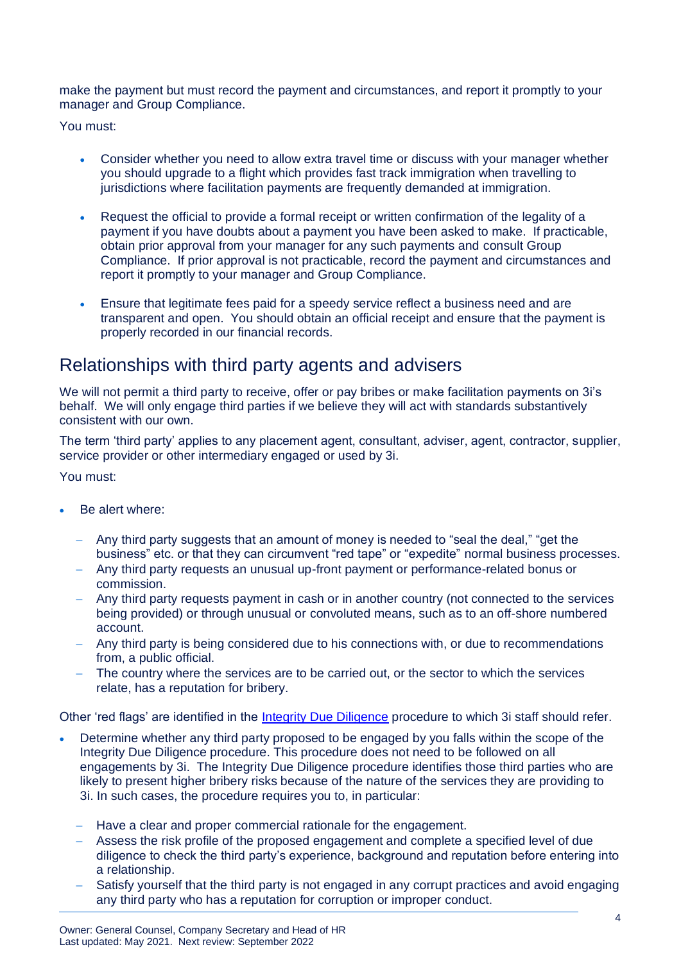make the payment but must record the payment and circumstances, and report it promptly to your manager and Group Compliance.

You must:

- Consider whether you need to allow extra travel time or discuss with your manager whether you should upgrade to a flight which provides fast track immigration when travelling to jurisdictions where facilitation payments are frequently demanded at immigration.
- Request the official to provide a formal receipt or written confirmation of the legality of a payment if you have doubts about a payment you have been asked to make. If practicable, obtain prior approval from your manager for any such payments and consult Group Compliance. If prior approval is not practicable, record the payment and circumstances and report it promptly to your manager and Group Compliance.
- Ensure that legitimate fees paid for a speedy service reflect a business need and are transparent and open. You should obtain an official receipt and ensure that the payment is properly recorded in our financial records.

# Relationships with third party agents and advisers

We will not permit a third party to receive, offer or pay bribes or make facilitation payments on 3i's behalf. We will only engage third parties if we believe they will act with standards substantively consistent with our own.

The term 'third party' applies to any placement agent, consultant, adviser, agent, contractor, supplier, service provider or other intermediary engaged or used by 3i.

You must:

- Be alert where:
	- − Any third party suggests that an amount of money is needed to "seal the deal," "get the business" etc. or that they can circumvent "red tape" or "expedite" normal business processes.
	- − Any third party requests an unusual up-front payment or performance-related bonus or commission.
	- Any third party requests payment in cash or in another country (not connected to the services being provided) or through unusual or convoluted means, such as to an off-shore numbered account.
	- − Any third party is being considered due to his connections with, or due to recommendations from, a public official.
	- − The country where the services are to be carried out, or the sector to which the services relate, has a reputation for bribery.

Other 'red flags' are identified in the *Integrity Due Diligence* procedure to which 3i staff should refer.

- Determine whether any third party proposed to be engaged by you falls within the scope of the Integrity Due Diligence procedure. This procedure does not need to be followed on all engagements by 3i. The Integrity Due Diligence procedure identifies those third parties who are likely to present higher bribery risks because of the nature of the services they are providing to 3i. In such cases, the procedure requires you to, in particular:
	- − Have a clear and proper commercial rationale for the engagement.
	- − Assess the risk profile of the proposed engagement and complete a specified level of due diligence to check the third party's experience, background and reputation before entering into a relationship.
	- Satisfy yourself that the third party is not engaged in any corrupt practices and avoid engaging any third party who has a reputation for corruption or improper conduct.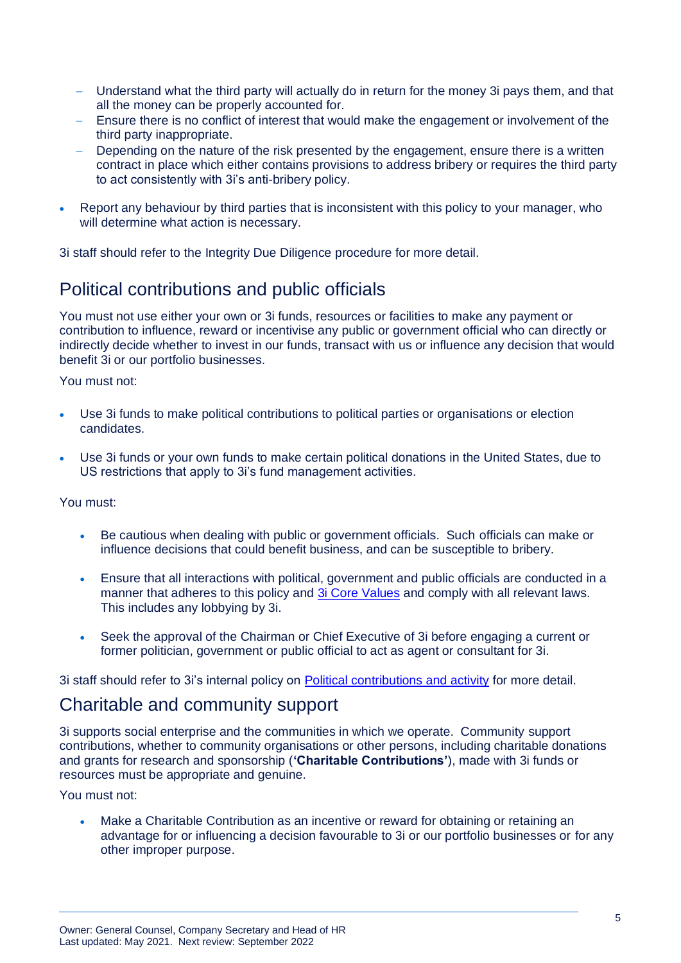- Understand what the third party will actually do in return for the money 3i pays them, and that all the money can be properly accounted for.
- Ensure there is no conflict of interest that would make the engagement or involvement of the third party inappropriate.
- Depending on the nature of the risk presented by the engagement, ensure there is a written contract in place which either contains provisions to address bribery or requires the third party to act consistently with 3i's anti-bribery policy.
- Report any behaviour by third parties that is inconsistent with this policy to your manager, who will determine what action is necessary.

3i staff should refer to the [Integrity Due Diligence](http://3i/compliance/home/Policies/Financial%20Control/1106%20Integrity%20due%20diligence%20procedure.doc) procedure for more detail.

# Political contributions and public officials

You must not use either your own or 3i funds, resources or facilities to make any payment or contribution to influence, reward or incentivise any public or government official who can directly or indirectly decide whether to invest in our funds, transact with us or influence any decision that would benefit 3i or our portfolio businesses.

You must not:

- Use 3i funds to make political contributions to political parties or organisations or election candidates.
- Use 3i funds or your own funds to make certain political donations in the United States, due to US restrictions that apply to 3i's fund management activities.

You must:

- Be cautious when dealing with public or government officials. Such officials can make or influence decisions that could benefit business, and can be susceptible to bribery.
- Ensure that all interactions with political, government and public officials are conducted in a manner that adheres to this policy and [3i Core Values](https://3igroupplc.sharepoint.com/sites/Intranet/SitePages/Our-Values.aspx) and comply with all relevant laws. This includes any lobbying by 3i.
- Seek the approval of the Chairman or Chief Executive of 3i before engaging a current or former politician, government or public official to act as agent or consultant for 3i.

3i staff should refer to 3i's internal policy on [Political contributions and activity](https://3igroupplc.sharepoint.com/sites/PS-COMP-PUBLIC/Gifts%20and%20Hospitality/Political%20contributions.docx?web=1) for more detail.

## Charitable and community support

3i supports social enterprise and the communities in which we operate. Community support contributions, whether to community organisations or other persons, including charitable donations and grants for research and sponsorship (**'Charitable Contributions'**), made with 3i funds or resources must be appropriate and genuine.

You must not:

• Make a Charitable Contribution as an incentive or reward for obtaining or retaining an advantage for or influencing a decision favourable to 3i or our portfolio businesses or for any other improper purpose.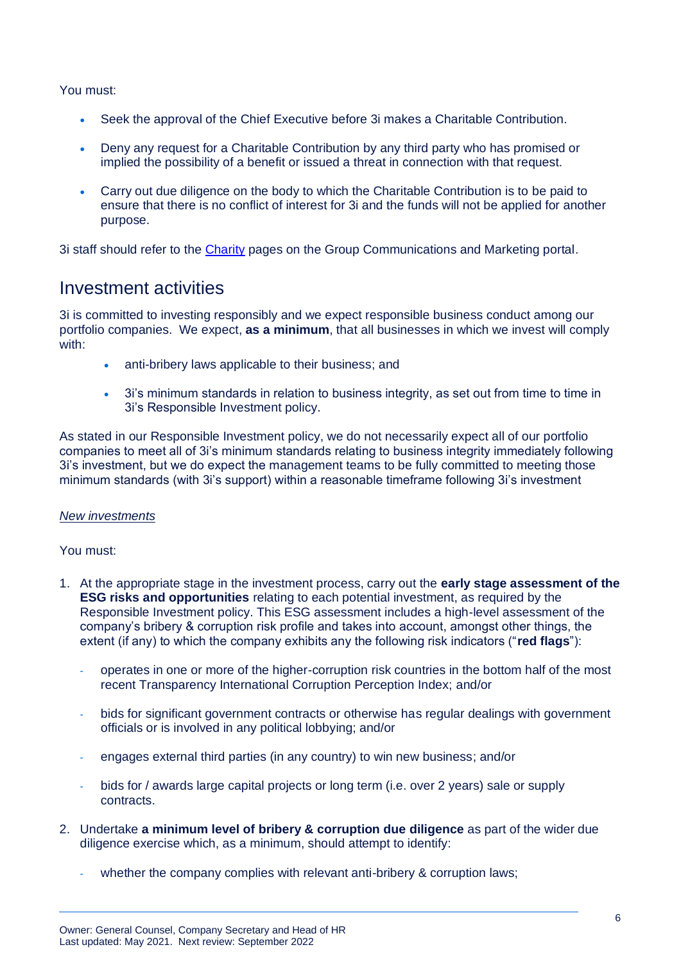You must:

- Seek the approval of the Chief Executive before 3i makes a Charitable Contribution.
- Deny any request for a Charitable Contribution by any third party who has promised or implied the possibility of a benefit or issued a threat in connection with that request.
- Carry out due diligence on the body to which the Charitable Contribution is to be paid to ensure that there is no conflict of interest for 3i and the funds will not be applied for another purpose.

3i staff should refer to the [Charity](http://3i/PS/gcom/Pages/Charity.aspx) pages on the Group Communications and Marketing portal.

## Investment activities

3i is committed to investing responsibly and we expect responsible business conduct among our portfolio companies. We expect, **as a minimum**, that all businesses in which we invest will comply with:

- anti-bribery laws applicable to their business; and
- 3i's minimum standards in relation to business integrity, as set out from time to time in 3i's Responsible Investment policy.

As stated in our Responsible Investment policy, we do not necessarily expect all of our portfolio companies to meet all of 3i's minimum standards relating to business integrity immediately following 3i's investment, but we do expect the management teams to be fully committed to meeting those minimum standards (with 3i's support) within a reasonable timeframe following 3i's investment

### *New investments*

You must:

- 1. At the appropriate stage in the investment process, carry out the **early stage assessment of the ESG risks and opportunities** relating to each potential investment, as required by the Responsible Investment policy. This ESG assessment includes a high-level assessment of the company's bribery & corruption risk profile and takes into account, amongst other things, the extent (if any) to which the company exhibits any the following risk indicators ("**red flags**"):
	- operates in one or more of the higher-corruption risk countries in the bottom half of the most recent Transparency International Corruption Perception Index; and/or
	- bids for significant government contracts or otherwise has regular dealings with government officials or is involved in any political lobbying; and/or
	- engages external third parties (in any country) to win new business; and/or
	- bids for / awards large capital projects or long term (i.e. over 2 years) sale or supply contracts.
- 2. Undertake **a minimum level of bribery & corruption due diligence** as part of the wider due diligence exercise which, as a minimum, should attempt to identify:
	- whether the company complies with relevant anti-bribery & corruption laws;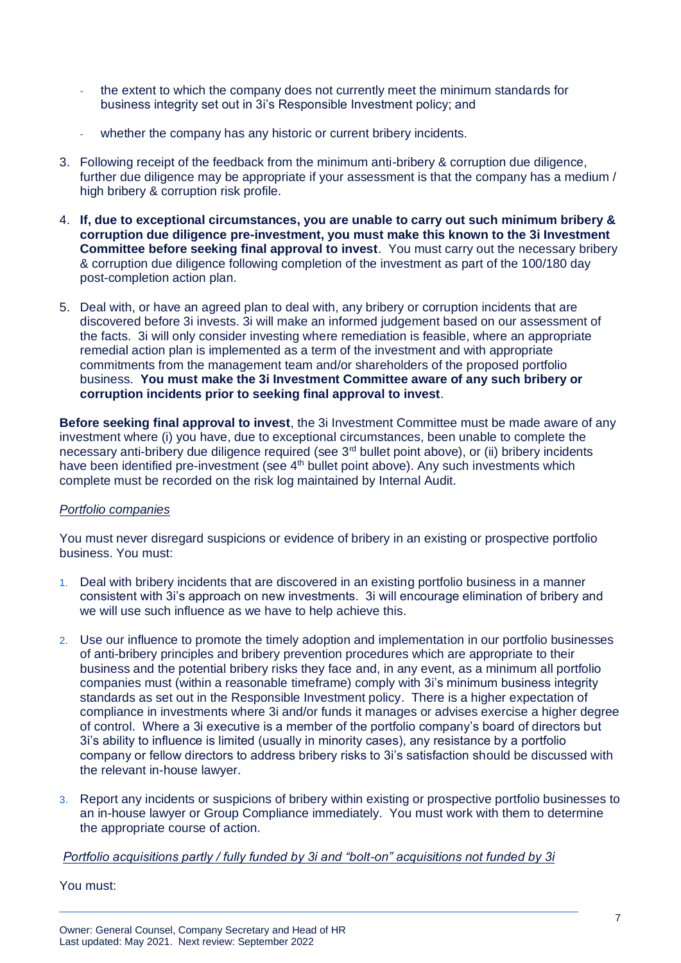- the extent to which the company does not currently meet the minimum standards for business integrity set out in 3i's Responsible Investment policy; and
- whether the company has any historic or current bribery incidents.
- 3. Following receipt of the feedback from the minimum anti-bribery & corruption due diligence, further due diligence may be appropriate if your assessment is that the company has a medium / high bribery & corruption risk profile.
- 4. **If, due to exceptional circumstances, you are unable to carry out such minimum bribery & corruption due diligence pre-investment, you must make this known to the 3i Investment Committee before seeking final approval to invest**. You must carry out the necessary bribery & corruption due diligence following completion of the investment as part of the 100/180 day post-completion action plan.
- 5. Deal with, or have an agreed plan to deal with, any bribery or corruption incidents that are discovered before 3i invests. 3i will make an informed judgement based on our assessment of the facts. 3i will only consider investing where remediation is feasible, where an appropriate remedial action plan is implemented as a term of the investment and with appropriate commitments from the management team and/or shareholders of the proposed portfolio business. **You must make the 3i Investment Committee aware of any such bribery or corruption incidents prior to seeking final approval to invest**.

**Before seeking final approval to invest**, the 3i Investment Committee must be made aware of any investment where (i) you have, due to exceptional circumstances, been unable to complete the necessary anti-bribery due diligence required (see 3<sup>rd</sup> bullet point above), or (ii) bribery incidents have been identified pre-investment (see 4<sup>th</sup> bullet point above). Any such investments which complete must be recorded on the risk log maintained by Internal Audit.

### *Portfolio companies*

You must never disregard suspicions or evidence of bribery in an existing or prospective portfolio business. You must:

- 1. Deal with bribery incidents that are discovered in an existing portfolio business in a manner consistent with 3i's approach on new investments. 3i will encourage elimination of bribery and we will use such influence as we have to help achieve this.
- 2. Use our influence to promote the timely adoption and implementation in our portfolio businesses of anti-bribery principles and bribery prevention procedures which are appropriate to their business and the potential bribery risks they face and, in any event, as a minimum all portfolio companies must (within a reasonable timeframe) comply with 3i's minimum business integrity standards as set out in the Responsible Investment policy. There is a higher expectation of compliance in investments where 3i and/or funds it manages or advises exercise a higher degree of control. Where a 3i executive is a member of the portfolio company's board of directors but 3i's ability to influence is limited (usually in minority cases), any resistance by a portfolio company or fellow directors to address bribery risks to 3i's satisfaction should be discussed with the relevant in-house lawyer.
- 3. Report any incidents or suspicions of bribery within existing or prospective portfolio businesses to an in-house lawyer or Group Compliance immediately. You must work with them to determine the appropriate course of action.

#### *Portfolio acquisitions partly / fully funded by 3i and "bolt-on" acquisitions not funded by 3i*

You must: